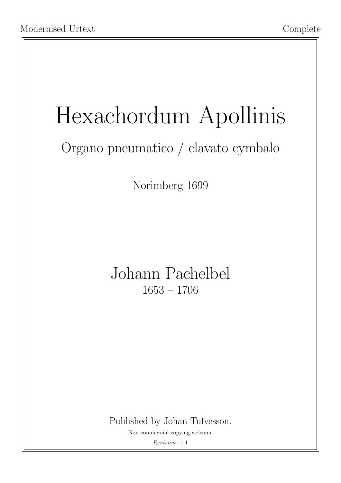## Hexachordum Apollinis

## Organo pneumatico / clavato cymbalo

Norimberg 1699

## Johann Pachelbel 1653 – 1706

Published by Johan Tufvesson.

Non-commercial copying welcome

Revision : 1.1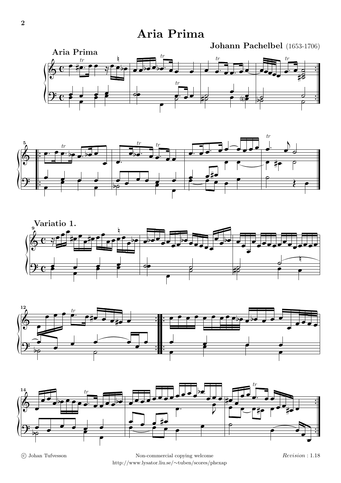## Aria Prima

Johann Pachelbel (1653-1706)











 c Johan Tufvesson Non-commercial copying welcome Revision : 1.18 http://www.lysator.liu.se/∼tuben/scores/phexap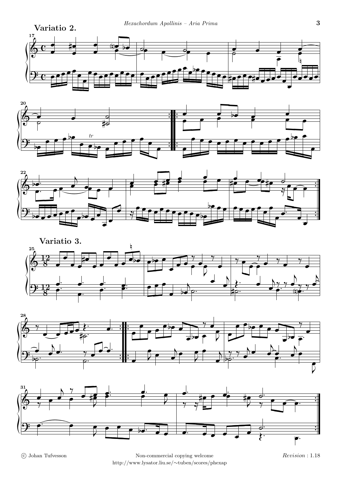$Hexachordum Apollinis - Aria Prima$  3 č 17  $\overline{\mathbf{p}}$  $\overline{\mathbb{A}}$  $\overline{\epsilon}$  $\overline{\epsilon}$ **∽∸**  $\overline{\phantom{a}}$  $\sharp$ ˇˇ ˇ ˇ ÃÃÃÃ ˇˇ ˇˇˇˇ ˇˇˇ Variatio 2. ˇ ˇ ˇ ˇ  $\bullet$   $\qquad$   $\qquad$   $\qquad$   $\qquad$   $\qquad$   $\qquad$   $\qquad$   $\qquad$   $\qquad$   $\qquad$   $\qquad$   $\qquad$   $\qquad$   $\qquad$   $\qquad$   $\qquad$   $\qquad$   $\qquad$   $\qquad$   $\qquad$   $\qquad$   $\qquad$   $\qquad$   $\qquad$   $\qquad$   $\qquad$   $\qquad$   $\qquad$   $\qquad$   $\qquad$   $\qquad$   $\qquad$   $\qquad$   $\qquad$   $\qquad$   $\qquad$   $\overline{a}$ ˇ ˇ ˇˇ  $\overline{\phantom{a}}$ ˇˇˇˇ  $\overline{\phantom{a}}$ ŔŔ ˇˇ ˇ  $\frac{1}{2}$ ÏÏÏÏ ˇ ?  $\overline{\cdot}$  $\rightarrow$  $\overline{\ }$  $\circ$   $\bullet$   $\circ$ ⊥<br>⊄∞°°°¢≠ ˇˇˇˇ ˇ ˇ ˇ ^ ˇˇˇˇ **;**<br>⊝ ˇ ˇ  $\overline{\phantom{a}}$   $\overline{\phantom{a}}$   $\overline{\phantom{a}}$  $\overline{\phantom{a}}$ 











 c Johan Tufvesson Non-commercial copying welcome Revision : 1.18 http://www.lysator.liu.se/∼tuben/scores/phexap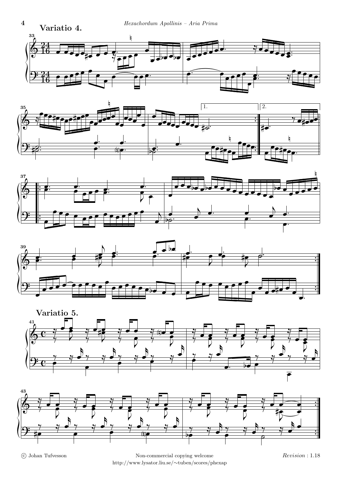











 $\odot$  Johan Tufvesson Non-commercial copying welcome Revision : 1.18 http://www.lysator.liu.se/∼tuben/scores/phexap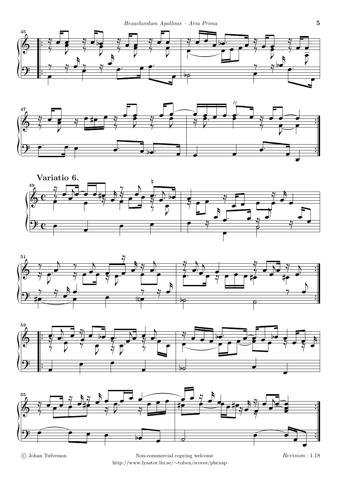









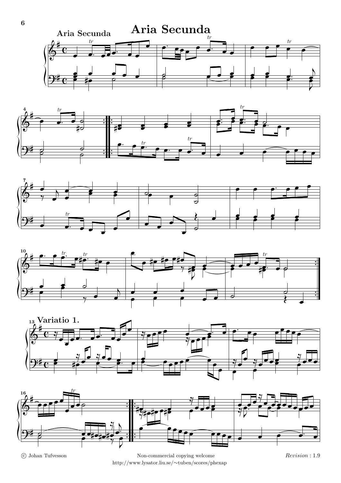











 c Johan Tufvesson Non-commercial copying welcome Revision : 1.9 http://www.lysator.liu.se/∼tuben/scores/phexap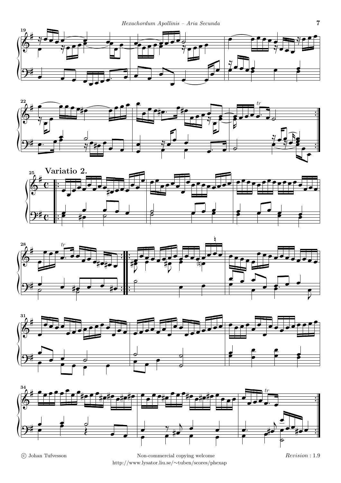











 c Johan Tufvesson Non-commercial copying welcome Revision : 1.9 http://www.lysator.liu.se/∼tuben/scores/phexap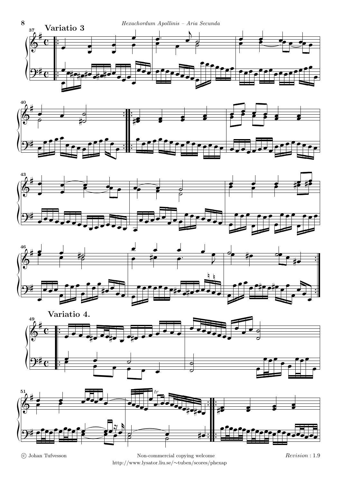











 c Johan Tufvesson Non-commercial copying welcome Revision : 1.9 http://www.lysator.liu.se/∼tuben/scores/phexap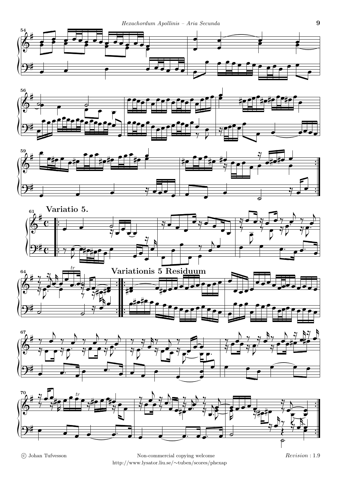Hexachordum Apollinis – Aria Secunda 9













 c Johan Tufvesson Non-commercial copying welcome Revision : 1.9 http://www.lysator.liu.se/∼tuben/scores/phexap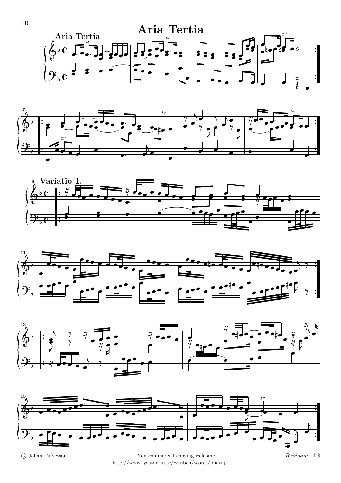











 c Johan Tufvesson Non-commercial copying welcome Revision : 1.8 http://www.lysator.liu.se/∼tuben/scores/phexap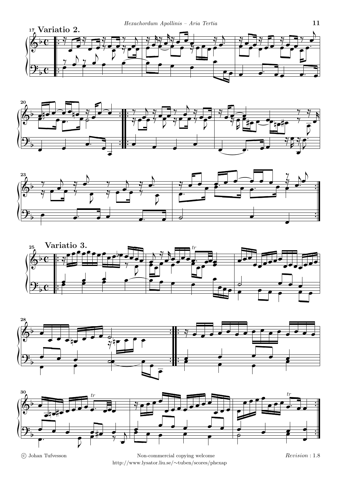











 c Johan Tufvesson Non-commercial copying welcome Revision : 1.8 http://www.lysator.liu.se/∼tuben/scores/phexap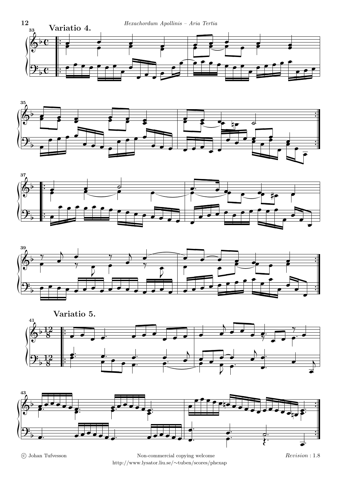









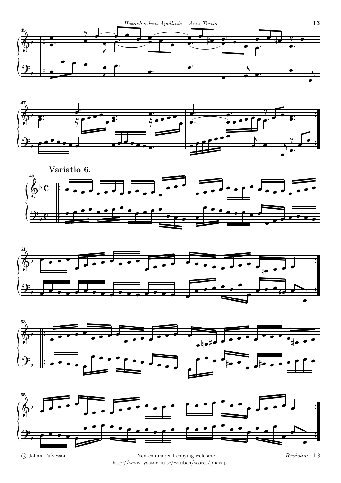











 c Johan Tufvesson Non-commercial copying welcome Revision : 1.8 http://www.lysator.liu.se/∼tuben/scores/phexap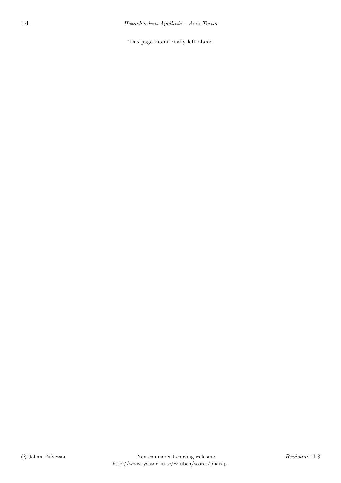This page intentionally left blank.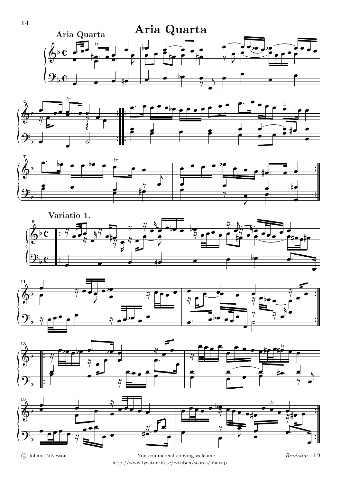











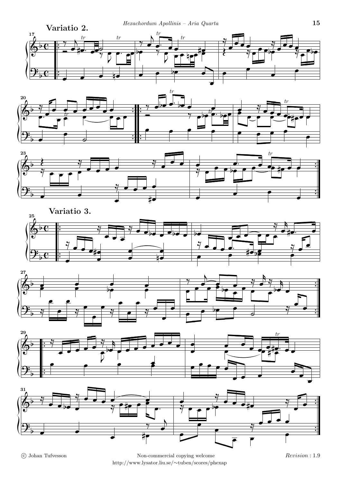













 c Johan Tufvesson Non-commercial copying welcome Revision : 1.9 http://www.lysator.liu.se/∼tuben/scores/phexap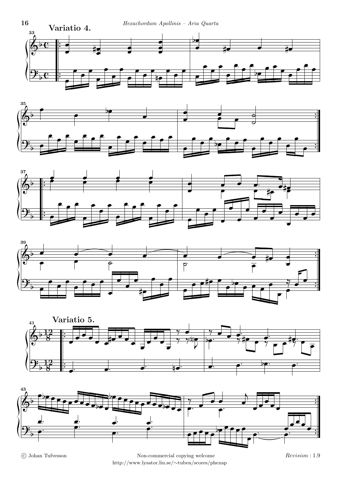











 c Johan Tufvesson Non-commercial copying welcome Revision : 1.9 http://www.lysator.liu.se/∼tuben/scores/phexap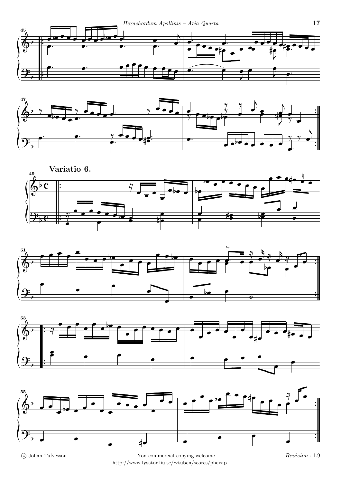









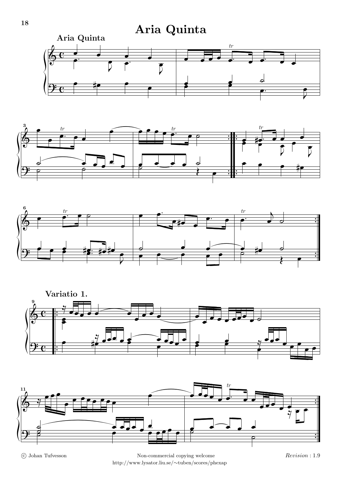









 c Johan Tufvesson Non-commercial copying welcome Revision : 1.9 http://www.lysator.liu.se/∼tuben/scores/phexap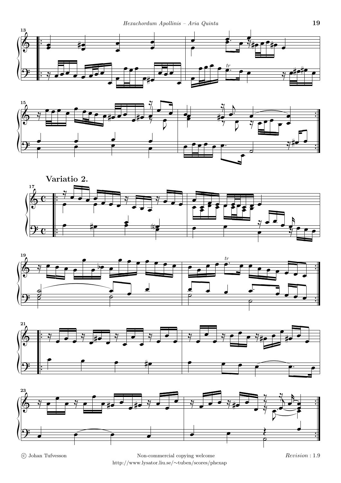Hexachordum Apollinis – Aria Quinta 19











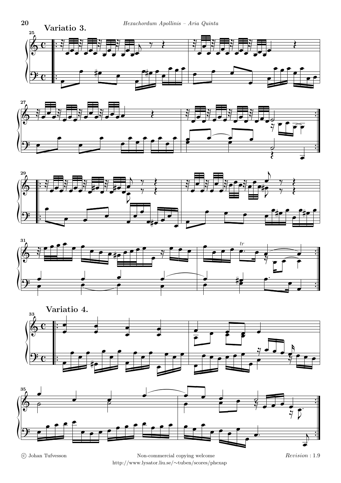









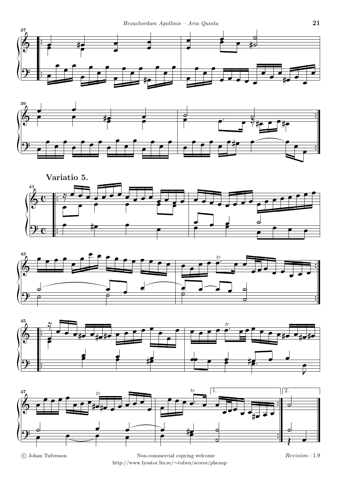











 c Johan Tufvesson Non-commercial copying welcome Revision : 1.9 http://www.lysator.liu.se/∼tuben/scores/phexap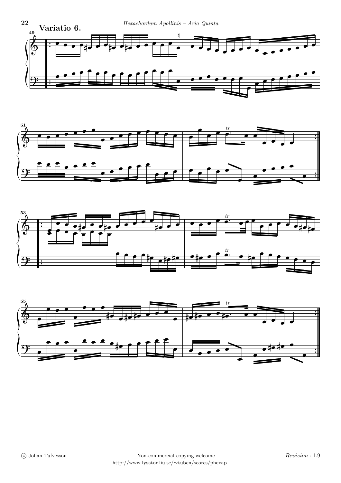





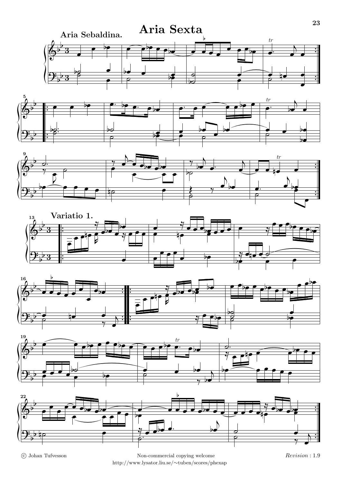







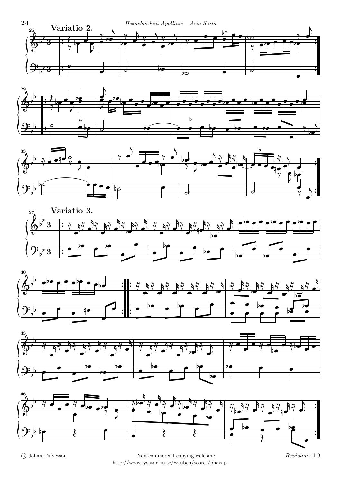













 c Johan Tufvesson Non-commercial copying welcome Revision : 1.9 http://www.lysator.liu.se/∼tuben/scores/phexap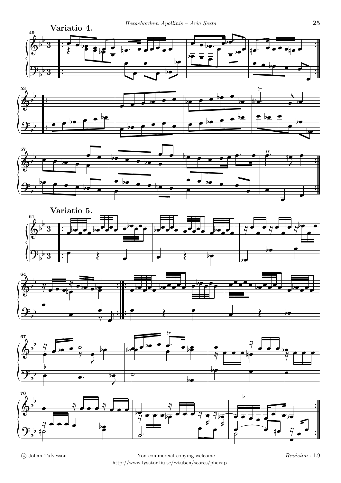









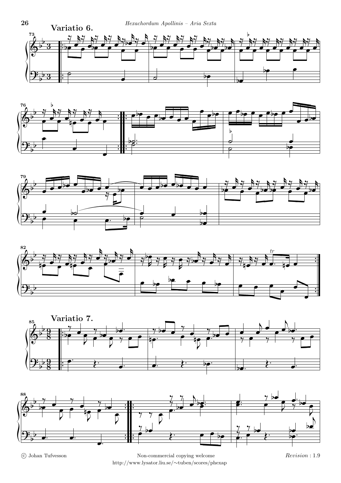











 c Johan Tufvesson Non-commercial copying welcome Revision : 1.9 http://www.lysator.liu.se/∼tuben/scores/phexap